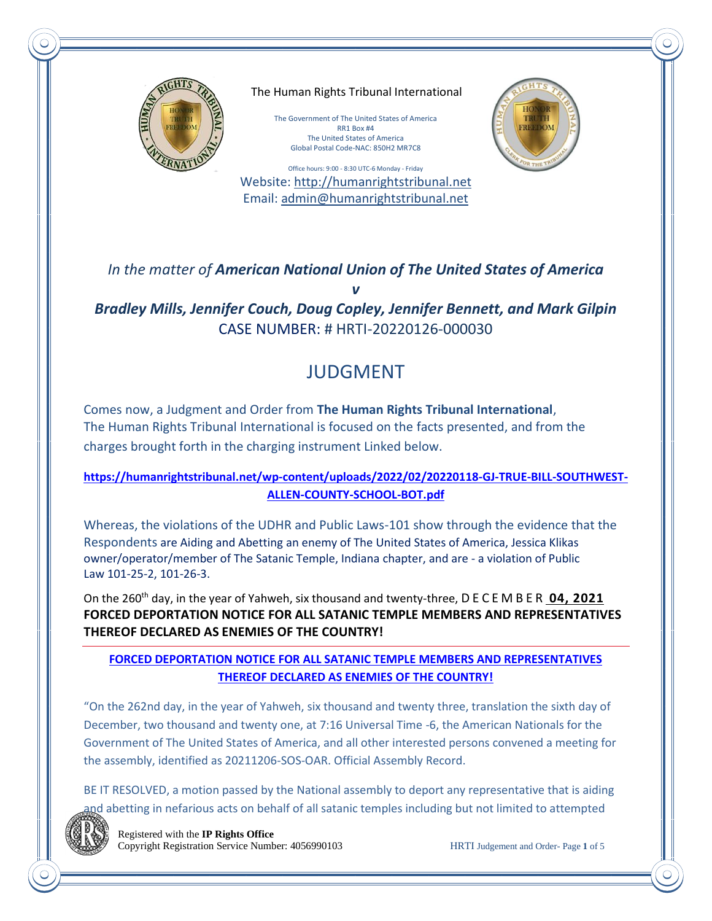

The Human Rights Tribunal International

The Government of The United States of America RR1 Box #4 The United States of America Global Postal Code-NAC: 850H2 MR7C8

Office hours: 9:00 - 8:30 UTC-6 Monday - Friday Website: [http://humanrightstribunal.n](http://humanrightstribunal./)et Email: [admin@humanrightstribunal.n](mailto:admin@humanrightstribunal.)et

*In the matter of American National Union of The United States of America v*

*Bradley Mills, Jennifer Couch, Doug Copley, Jennifer Bennett, and Mark Gilpin* CASE NUMBER: # HRTI-20220126-000030

# JUDGMENT

Comes now, a Judgment and Order from **The Human Rights Tribunal International**, The Human Rights Tribunal International is focused on the facts presented, and from the charges brought forth in the charging instrument Linked below.

## **[https://humanrightstribunal.net/wp-content/uploads/2022/02/20220118-GJ-TRUE-BILL-SOUTHWEST-](https://humanrightstribunal.net/wp-content/uploads/2022/02/20220118-GJ-TRUE-BILL-SOUTHWEST-ALLEN-COUNTY-SCHOOL-BOT.pdf)[ALLEN-COUNTY-SCHOOL-BOT.pdf](https://humanrightstribunal.net/wp-content/uploads/2022/02/20220118-GJ-TRUE-BILL-SOUTHWEST-ALLEN-COUNTY-SCHOOL-BOT.pdf)**

Whereas, the violations of the UDHR and Public Laws-101 show through the evidence that the Respondents are Aiding and Abetting an enemy of The United States of America, Jessica Klikas owner/operator/member of The Satanic Temple, Indiana chapter, and are - a violation of Public Law 101-25-2, 101-26-3.

On the 260th day, in the year of Yahweh, six thousand and twenty-three, [D E C E M B E R](https://americanheraldnews.com/?p=8519) **04, 2021 FORCED DEPORTATION NOTICE FOR ALL SATANIC TEMPLE MEMBERS AND REPRESENTATIVES THEREOF DECLARED AS ENEMIES OF THE COUNTRY!**

### **[FORCED DEPORTATION NOTICE FOR ALL SATANIC TEMPLE MEMBERS AND REPRESENTATIVES](https://americanheraldnews.com/?p=8519)  [THEREOF DECLARED AS ENEMIES OF THE COUNTRY!](https://americanheraldnews.com/?p=8519)**

"On the 262nd day, in the year of Yahweh, six thousand and twenty three, translation the sixth day of December, two thousand and twenty one, at 7:16 Universal Time -6, the American Nationals for the Government of The United States of America, and all other interested persons convened a meeting for the assembly, identified as 20211206-SOS-OAR. Official Assembly Record.

BE IT RESOLVED, a motion passed by the National assembly to deport any representative that is aiding and abetting in nefarious acts on behalf of all satanic temples including but not limited to attempted



 Registered with the **IP Rights Office** Copyright Registration Service Number: 4056990103 HRTI Judgement and Order- Page **1** of 5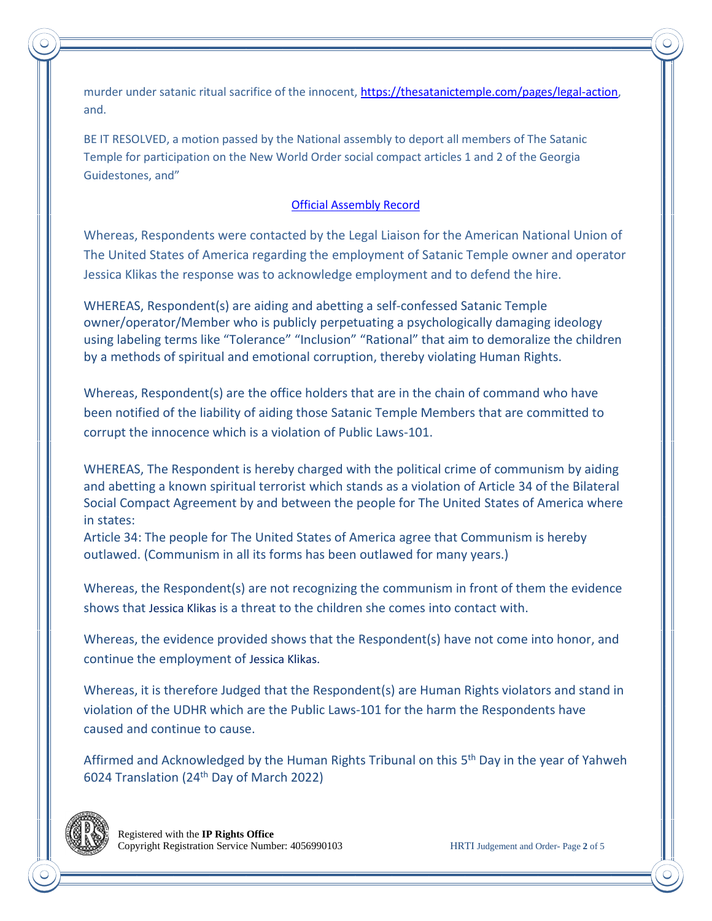murder under satanic ritual sacrifice of the innocent, [https://thesatanictemple.com/pages/legal-action,](https://thesatanictemple.com/pages/legal-action) and.

BE IT RESOLVED, a motion passed by the National assembly to deport all members of The Satanic Temple for participation on the New World Order social compact articles 1 and 2 of the Georgia Guidestones, and"

### [Official Assembly Record](https://nationalgreatregistry.country/wp-content/uploads/2021/12/20211206-SOS-OAR.pdf)

Whereas, Respondents were contacted by the Legal Liaison for the American National Union of The United States of America regarding the employment of Satanic Temple owner and operator Jessica Klikas the response was to acknowledge employment and to defend the hire.

WHEREAS, Respondent(s) are aiding and abetting a self-confessed Satanic Temple owner/operator/Member who is publicly perpetuating a psychologically damaging ideology using labeling terms like "Tolerance" "Inclusion" "Rational" that aim to demoralize the children by a methods of spiritual and emotional corruption, thereby violating Human Rights.

Whereas, Respondent(s) are the office holders that are in the chain of command who have been notified of the liability of aiding those Satanic Temple Members that are committed to corrupt the innocence which is a violation of Public Laws-101.

WHEREAS, The Respondent is hereby charged with the political crime of communism by aiding and abetting a known spiritual terrorist which stands as a violation of Article 34 of the Bilateral Social Compact Agreement by and between the people for The United States of America where in states:

Article 34: The people for The United States of America agree that Communism is hereby outlawed. (Communism in all its forms has been outlawed for many years.)

Whereas, the Respondent(s) are not recognizing the communism in front of them the evidence shows that Jessica Klikas is a threat to the children she comes into contact with.

Whereas, the evidence provided shows that the Respondent(s) have not come into honor, and continue the employment of Jessica Klikas.

Whereas, it is therefore Judged that the Respondent(s) are Human Rights violators and stand in violation of the UDHR which are the Public Laws-101 for the harm the Respondents have caused and continue to cause.

Affirmed and Acknowledged by the Human Rights Tribunal on this 5<sup>th</sup> Day in the year of Yahweh 6024 Translation (24th Day of March 2022)

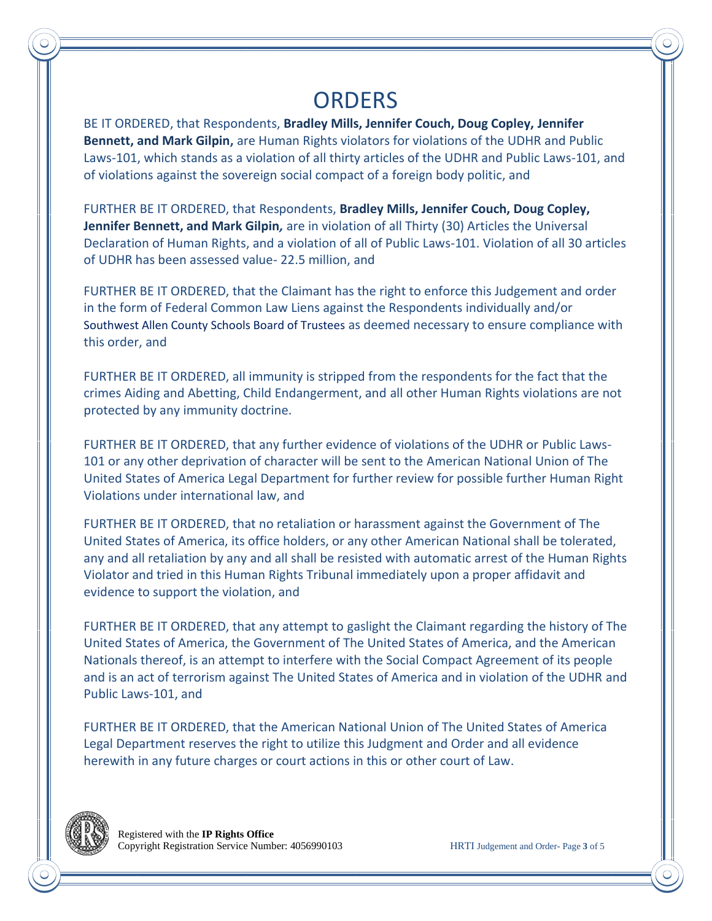# **ORDERS**

BE IT ORDERED, that Respondents, **Bradley Mills, Jennifer Couch, Doug Copley, Jennifer Bennett, and Mark Gilpin,** are Human Rights violators for violations of the UDHR and Public Laws-101, which stands as a violation of all thirty articles of the UDHR and Public Laws-101, and of violations against the sovereign social compact of a foreign body politic, and

FURTHER BE IT ORDERED, that Respondents, **Bradley Mills, Jennifer Couch, Doug Copley, Jennifer Bennett, and Mark Gilpin***,* are in violation of all Thirty (30) Articles the Universal Declaration of Human Rights, and a violation of all of Public Laws-101. Violation of all 30 articles of UDHR has been assessed value- 22.5 million, and

FURTHER BE IT ORDERED, that the Claimant has the right to enforce this Judgement and order in the form of Federal Common Law Liens against the Respondents individually and/or Southwest Allen County Schools Board of Trustees as deemed necessary to ensure compliance with this order, and

FURTHER BE IT ORDERED, all immunity is stripped from the respondents for the fact that the crimes Aiding and Abetting, Child Endangerment, and all other Human Rights violations are not protected by any immunity doctrine.

FURTHER BE IT ORDERED, that any further evidence of violations of the UDHR or Public Laws-101 or any other deprivation of character will be sent to the American National Union of The United States of America Legal Department for further review for possible further Human Right Violations under international law, and

FURTHER BE IT ORDERED, that no retaliation or harassment against the Government of The United States of America, its office holders, or any other American National shall be tolerated, any and all retaliation by any and all shall be resisted with automatic arrest of the Human Rights Violator and tried in this Human Rights Tribunal immediately upon a proper affidavit and evidence to support the violation, and

FURTHER BE IT ORDERED, that any attempt to gaslight the Claimant regarding the history of The United States of America, the Government of The United States of America, and the American Nationals thereof, is an attempt to interfere with the Social Compact Agreement of its people and is an act of terrorism against The United States of America and in violation of the UDHR and Public Laws-101, and

FURTHER BE IT ORDERED, that the American National Union of The United States of America Legal Department reserves the right to utilize this Judgment and Order and all evidence herewith in any future charges or court actions in this or other court of Law.

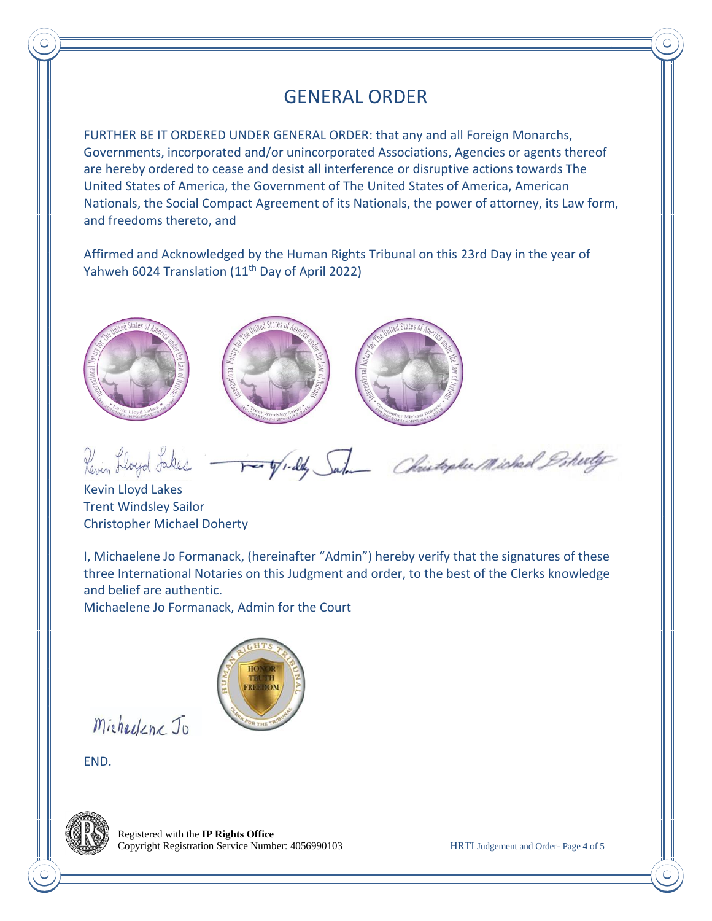## GENERAL ORDER

FURTHER BE IT ORDERED UNDER GENERAL ORDER: that any and all Foreign Monarchs, Governments, incorporated and/or unincorporated Associations, Agencies or agents thereof are hereby ordered to cease and desist all interference or disruptive actions towards The United States of America, the Government of The United States of America, American Nationals, the Social Compact Agreement of its Nationals, the power of attorney, its Law form, and freedoms thereto, and

Affirmed and Acknowledged by the Human Rights Tribunal on this 23rd Day in the year of Yahweh 6024 Translation (11<sup>th</sup> Day of April 2022)



Revin Lloyd Jakes - Forty 1-ddy Sale Christophe Michael Pohety

Kevin Lloyd Lakes Trent Windsley Sailor Christopher Michael Doherty

I, Michaelene Jo Formanack, (hereinafter "Admin") hereby verify that the signatures of these three International Notaries on this Judgment and order, to the best of the Clerks knowledge and belief are authentic.

Michaelene Jo Formanack, Admin for the Court



Michaelene Jo

END.